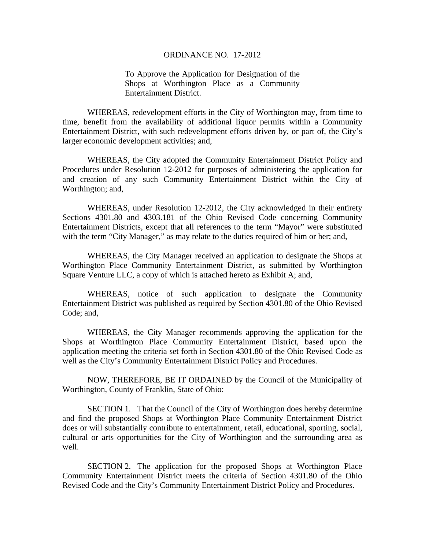## ORDINANCE NO. 17-2012

To Approve the Application for Designation of the Shops at Worthington Place as a Community Entertainment District.

WHEREAS, redevelopment efforts in the City of Worthington may, from time to time, benefit from the availability of additional liquor permits within a Community Entertainment District, with such redevelopment efforts driven by, or part of, the City's larger economic development activities; and,

WHEREAS, the City adopted the Community Entertainment District Policy and Procedures under Resolution 12-2012 for purposes of administering the application for and creation of any such Community Entertainment District within the City of Worthington; and,

WHEREAS, under Resolution 12-2012, the City acknowledged in their entirety Sections 4301.80 and 4303.181 of the Ohio Revised Code concerning Community Entertainment Districts, except that all references to the term "Mayor" were substituted with the term "City Manager," as may relate to the duties required of him or her; and,

WHEREAS, the City Manager received an application to designate the Shops at Worthington Place Community Entertainment District, as submitted by Worthington Square Venture LLC, a copy of which is attached hereto as Exhibit A; and,

WHEREAS, notice of such application to designate the Community Entertainment District was published as required by Section 4301.80 of the Ohio Revised Code; and,

WHEREAS, the City Manager recommends approving the application for the Shops at Worthington Place Community Entertainment District, based upon the application meeting the criteria set forth in Section 4301.80 of the Ohio Revised Code as well as the City's Community Entertainment District Policy and Procedures.

NOW, THEREFORE, BE IT ORDAINED by the Council of the Municipality of Worthington, County of Franklin, State of Ohio:

SECTION 1. That the Council of the City of Worthington does hereby determine and find the proposed Shops at Worthington Place Community Entertainment District does or will substantially contribute to entertainment, retail, educational, sporting, social, cultural or arts opportunities for the City of Worthington and the surrounding area as well.

SECTION 2. The application for the proposed Shops at Worthington Place Community Entertainment District meets the criteria of Section 4301.80 of the Ohio Revised Code and the City's Community Entertainment District Policy and Procedures.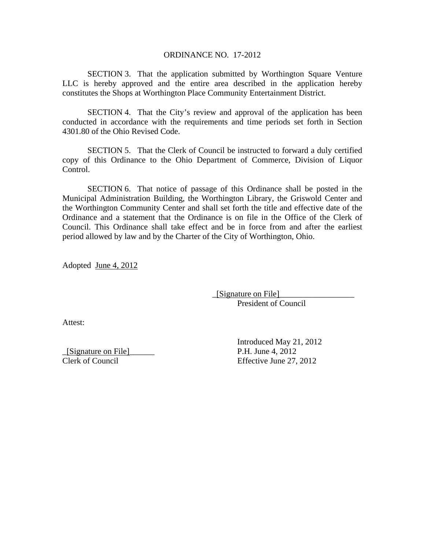## ORDINANCE NO. 17-2012

SECTION 3. That the application submitted by Worthington Square Venture LLC is hereby approved and the entire area described in the application hereby constitutes the Shops at Worthington Place Community Entertainment District.

SECTION 4. That the City's review and approval of the application has been conducted in accordance with the requirements and time periods set forth in Section 4301.80 of the Ohio Revised Code.

SECTION 5. That the Clerk of Council be instructed to forward a duly certified copy of this Ordinance to the Ohio Department of Commerce, Division of Liquor Control.

SECTION 6. That notice of passage of this Ordinance shall be posted in the Municipal Administration Building, the Worthington Library, the Griswold Center and the Worthington Community Center and shall set forth the title and effective date of the Ordinance and a statement that the Ordinance is on file in the Office of the Clerk of Council. This Ordinance shall take effect and be in force from and after the earliest period allowed by law and by the Charter of the City of Worthington, Ohio.

Adopted June 4, 2012

 \_[Signature on File]\_\_\_\_\_\_\_\_\_\_\_\_\_\_\_\_\_\_ President of Council

Attest:

 Introduced May 21, 2012 \_[Signature on File]\_\_\_\_\_\_ P.H. June 4, 2012 Clerk of Council Effective June 27, 2012